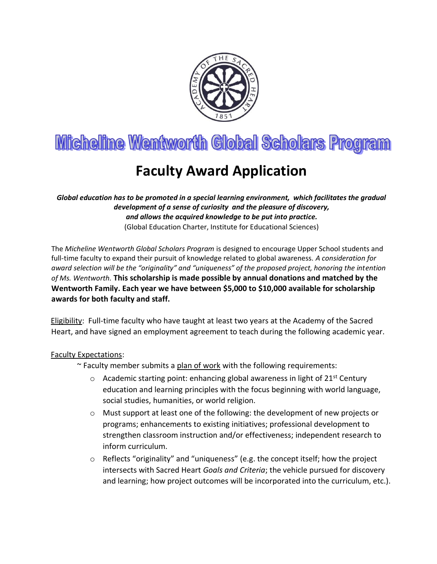

# Micheline Wentworth Global Scholars Program

### **Faculty Award Application**

*Global education has to be promoted in a special learning environment, which facilitates the gradual development of a sense of curiosity and the pleasure of discovery, and allows the acquired knowledge to be put into practice.* (Global Education Charter, Institute for Educational Sciences)

The *Micheline Wentworth Global Scholars Program* is designed to encourage Upper School students and full-time faculty to expand their pursuit of knowledge related to global awareness. *A consideration for award selection will be the "originality" and "uniqueness" of the proposed project, honoring the intention of Ms. Wentworth.* **This scholarship is made possible by annual donations and matched by the Wentworth Family. Each year we have between \$5,000 to \$10,000 available for scholarship awards for both faculty and staff.**

**Eligibility:** Full-time faculty who have taught at least two years at the Academy of the Sacred Heart, and have signed an employment agreement to teach during the following academic year.

#### Faculty Expectations:

 $\sim$  Faculty member submits a plan of work with the following requirements:

- $\circ$  Academic starting point: enhancing global awareness in light of 21<sup>st</sup> Century education and learning principles with the focus beginning with world language, social studies, humanities, or world religion.
- $\circ$  Must support at least one of the following: the development of new projects or programs; enhancements to existing initiatives; professional development to strengthen classroom instruction and/or effectiveness; independent research to inform curriculum.
- o Reflects "originality" and "uniqueness" (e.g. the concept itself; how the project intersects with Sacred Heart *Goals and Criteria*; the vehicle pursued for discovery and learning; how project outcomes will be incorporated into the curriculum, etc.).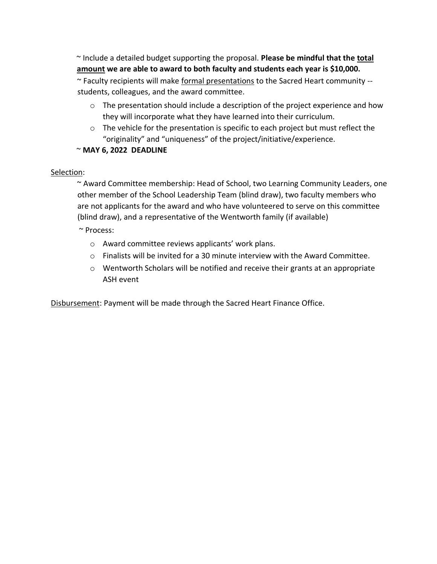~ Include a detailed budget supporting the proposal. **Please be mindful that the total amount we are able to award to both faculty and students each year is \$10,000.** 

~ Faculty recipients will make formal presentations to the Sacred Heart community - students, colleagues, and the award committee.

- o The presentation should include a description of the project experience and how they will incorporate what they have learned into their curriculum.
- $\circ$  The vehicle for the presentation is specific to each project but must reflect the "originality" and "uniqueness" of the project/initiative/experience.

#### ~ **MAY 6, 2022 DEADLINE**

#### Selection:

~ Award Committee membership: Head of School, two Learning Community Leaders, one other member of the School Leadership Team (blind draw), two faculty members who are not applicants for the award and who have volunteered to serve on this committee (blind draw), and a representative of the Wentworth family (if available)

~ Process:

- o Award committee reviews applicants' work plans.
- $\circ$  Finalists will be invited for a 30 minute interview with the Award Committee.
- $\circ$  Wentworth Scholars will be notified and receive their grants at an appropriate ASH event

Disbursement: Payment will be made through the Sacred Heart Finance Office.